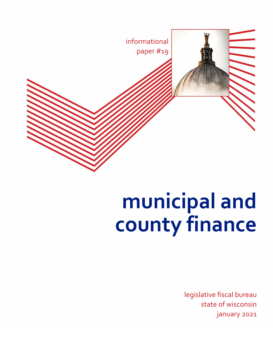

# **municipal and county finance**

legislative fiscal bureau state of wisconsin january 2021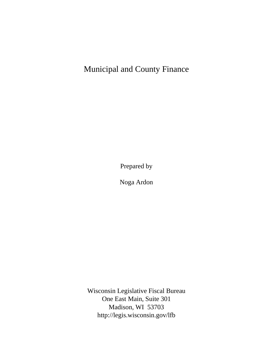# Municipal and County Finance

Prepared by

Noga Ardon

Wisconsin Legislative Fiscal Bureau One East Main, Suite 301 Madison, WI 53703 <http://legis.wisconsin.gov/lfb>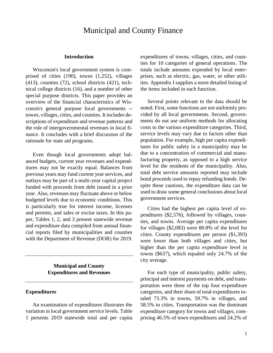# Municipal and County Finance

#### **Introduction**

Wisconsin's local government system is comprised of cities (190), towns (1,252), villages (413), counties (72), school districts (421), technical college districts (16), and a number of other special purpose districts. This paper provides an overview of the financial characteristics of Wisconsin's general purpose local governments - towns, villages, cities, and counties. It includes descriptions of expenditure and revenue patterns and the role of intergovernmental revenues in local finance. It concludes with a brief discussion of the rationale for state aid programs.

Even though local governments adopt balanced budgets, current year revenues and expenditures may not be exactly equal. Balances from previous years may fund current year services, and outlays may be part of a multi-year capital project funded with proceeds from debt issued in a prior year. Also, revenues may fluctuate above or below budgeted levels due to economic conditions. This is particularly true for interest income, licenses and permits, and sales or excise taxes. In this paper, Tables 1, 2, and 3 present statewide revenue and expenditure data compiled from annual financial reports filed by municipalities and counties with the Department of Revenue (DOR) for 2019.

> **Municipal and County Expenditures and Revenues**

#### **Expenditures**

An examination of expenditures illustrates the variation in local government service levels. Table 1 presents 2019 statewide total and per capita expenditures of towns, villages, cities, and counties for 10 categories of general operations. The totals include amounts expended by local enterprises, such as electric, gas, water, or other utilities. Appendix I supplies a more detailed listing of the items included in each function.

Several points relevant to the data should be noted. First, some functions are not uniformly provided by all local governments. Second, governments do not use uniform methods for allocating costs to the various expenditure categories. Third, service levels may vary due to factors other than population. For example, high per capita expenditures for public safety in a municipality may be due to a concentration of commercial and manufacturing property, as opposed to a high service level for the residents of the municipality. Also, total debt service amounts reported may include bond proceeds used to repay refunding bonds. Despite these cautions, the expenditure data can be used to draw some general conclusions about local government services.

Cities had the highest per capita level of expenditures (\$2,576), followed by villages, counties, and towns. Average per capita expenditures for villages (\$2,083) were 80.8% of the level for cities. County expenditures per person (\$1,393) were lower than both villages and cities, but higher than the per capita expenditure level in towns (\$637), which equaled only 24.7% of the city average.

For each type of municipality, public safety, principal and interest payments on debt, and transportation were three of the top four expenditure categories, and their share of total expenditures totaled 73.3% in towns, 59.7% in villages, and 58.5% in cities. Transportation was the dominant expenditure category for towns and villages, comprising 46.5% of town expenditures and 24.2% of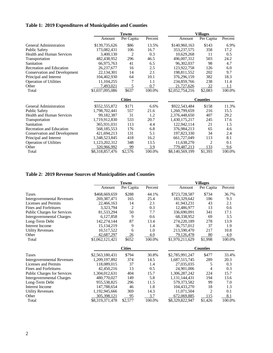## **Table 1: 2019 Expenditures of Municipalities and Counties**

|                                     |                 | <b>Towns</b>   |         |                 | <b>Villages</b> |         |  |  |  |
|-------------------------------------|-----------------|----------------|---------|-----------------|-----------------|---------|--|--|--|
|                                     | Amount          | Per Capita     | Percent | Amount          | Per Capita      | Percent |  |  |  |
| General Administration              | \$139,735,626   | \$86           | 13.5%   | \$140,960,163   | \$143           | 6.9%    |  |  |  |
| <b>Public Safety</b>                | 173,082,431     | 106            | 16.7    | 353, 237, 575   | 358             | 17.2    |  |  |  |
| <b>Health and Human Services</b>    | 3,400,130       | $\overline{2}$ | 0.3     | 10,629,268      | 11              | 0.5     |  |  |  |
| Transportation                      | 482,438,952     | 296            | 46.5    | 496,007,312     | 503             | 24.2    |  |  |  |
| Sanitation                          | 66,975,763      | 41             | 6.5     | 96,302,037      | 98              | 4.7     |  |  |  |
| <b>Recreation and Education</b>     | 26, 237, 677    | 16             | 2.5     | 123,922,758     | 126             | 6.0     |  |  |  |
| <b>Conservation and Development</b> | 22,134,301      | 14             | 2.1     | 198,811,552     | 202             | 9.7     |  |  |  |
| Principal and Interest              | 104,402,930     | 64             | 10.1    | 376,296,159     | 382             | 18.3    |  |  |  |
| <b>Operation of Utilities</b>       | 11,104,255      | 7              | 1.1     | 234,859,766     | 238             | 11.4    |  |  |  |
| Other                               | 7,493,021       | 5              | 0.7     | 21,727,626      | <u>22</u>       | 1.1     |  |  |  |
| Total                               | \$1,037,095,086 | \$637          | 100.0%  | \$2,052,754,216 | \$2,083         | 100.0%  |  |  |  |
|                                     |                 | <b>Cities</b>  |         | <b>Counties</b> |                 |         |  |  |  |
| General Administration              | \$552,555,872   | \$171          | 6.6%    | \$922,543,484   | \$158           | 11.3%   |  |  |  |
| <b>Public Safety</b>                | 1,798,702,441   | 557            | 21.6    | 1,260,799,659   | 216             | 15.5    |  |  |  |
| <b>Health and Human Services</b>    | 99,182,387      | 31             | 1.2     | 2,376,448,650   | 407             | 29.2    |  |  |  |
| Transportation                      | 1,719,912,830   | 533            | 20.7    | 1,430,175,217   | 245             | 17.6    |  |  |  |
| Sanitation                          | 365,931,031     | 113            | 4.4     | 122,942,114     | 21              | 1.5     |  |  |  |
| Recreation and Education            | 568, 185, 553   | 176            | 6.8     | 376,984,213     | 65              | 4.6     |  |  |  |
| <b>Conservation and Development</b> | 421,694,213     | 131            | 5.1     | 197,823,330     | 34              | 2.4     |  |  |  |
| Principal and Interest              | 1,348,523,845   | 418            | 16.2    | 661,727,049     | 113             | 8.1     |  |  |  |
| <b>Operation of Utilities</b>       | 1,123,202,312   | 348            | 13.5    | 11,638,270      | 2               | 0.1     |  |  |  |
| Other                               | 320,966,992     | 99             | 3.9     | 779,487,213     | 133             | 9.6     |  |  |  |
| Total                               | \$8,318,857,476 | \$2,576        | 100.0%  | \$8,140,569,199 | \$1,393         | 100.0%  |  |  |  |

## **Table 2: 2019 Revenue Sources of Municipalities and Counties**

|                                    |                 | <b>Towns</b>   |         |                 | <b>Villages</b> |         |  |  |  |
|------------------------------------|-----------------|----------------|---------|-----------------|-----------------|---------|--|--|--|
|                                    | Amount          | Per Capita     | Percent | Amount          | Per Capita      | Percent |  |  |  |
| Taxes                              | \$468,669,659   | \$288          | 44.1%   | \$723,728,587   | \$734           | 36.7%   |  |  |  |
| Intergovernmental Revenues         | 269,387,471     | 165            | 25.4    | 183,329,642     | 186             | 9.3     |  |  |  |
| Licenses and Permits               | 22,466,163      | 14             | 2.1     | 41,943,231      | 43              | 2.1     |  |  |  |
| Fines and Forfeitures              | 3,323,794       | $\overline{c}$ | 0.3     | 12,486,977      | 13              | 0.6     |  |  |  |
| Public Charges for Services        | 81,533,294      | 50             | 7.7     | 336,690,091     | 341             | 17.1    |  |  |  |
| Intergovernmental Charges          | 6,127,858       | 9              | 0.6     | 68,338,952      | 69              | 3.5     |  |  |  |
| Long-Term Debt                     | 142,274,144     | 87             | 13.4    | 274,220,189     | 278             | 13.9    |  |  |  |
| <b>Interest Income</b>             | 15, 134, 219    | 9              | 1.4     | 36,757,012      | 37              | 1.9     |  |  |  |
| <b>Utility Revenues</b>            | 10,517,522      | 6              | 1.0     | 213,590,470     | 217             | 10.8    |  |  |  |
| Other                              | 42,687,297      | 26             | 4.0     | 79,126,478      | <u>80</u>       | 4.0     |  |  |  |
| Total                              | \$1,062,121,421 | \$652          | 100.0%  | \$1,970,211,629 | \$1,998         | 100.0%  |  |  |  |
|                                    |                 | <b>Cities</b>  |         |                 | <b>Counties</b> |         |  |  |  |
| Taxes                              | \$2,563,180,431 | \$794          | 30.8%   | \$2,785,991,247 | \$477           | 33.4%   |  |  |  |
| Intergovernmental Revenues         | 1,209,197,892   | 374            | 14.5    | 1,687,515,745   | 289             | 20.3    |  |  |  |
| <b>Licenses and Permits</b>        | 118,089,015     | 37             | 1.4     | 27,035,035      | 5               | 0.3     |  |  |  |
| Fines and Forfeitures              | 42,450,216      | 13             | 0.5     | 24,901,006      | 4               | 0.3     |  |  |  |
| <b>Public Charges for Services</b> | 1,304,012,631   | 404            | 15.7    | 1,306,287,242   | 224             | 15.7    |  |  |  |
| Intergovernmental Charges          | 480,770,027     | 149            | 5.8     | 1,131,144,431   | 194             | 13.6    |  |  |  |
| Long-Term Debt                     | 955,538,825     | 296            | 11.5    | 579, 373, 582   | 99              | 7.0     |  |  |  |
| <b>Interest Income</b>             | 147,788,654     | 46             | 1.8     | 104,433,270     | 18              | 1.3     |  |  |  |
| <b>Utility Revenues</b>            | 1,192,945,666   | 369            | 14.3    | 11,071,504      | 2               | 0.1     |  |  |  |
| Other                              | 305,398,121     | 95             | 3.7     | 672,069,885     | 115             | 8.1     |  |  |  |
| Total                              | \$8,319,371,478 | \$2,577        | 100.0%  | \$8,329,822,947 | \$1,426         | 100.0%  |  |  |  |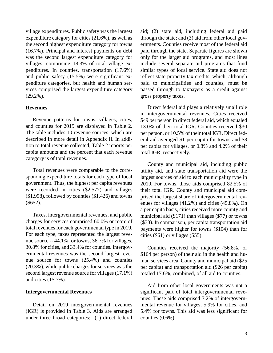village expenditures. Public safety was the largest expenditure category for cities (21.6%), as well as the second highest expenditure category for towns (16.7%). Principal and interest payments on debt was the second largest expenditure category for villages, comprising 18.3% of total village expenditures. In counties, transportation (17.6%) and public safety (15.5%) were significant expenditure categories, but health and human services comprised the largest expenditure category (29.2%).

#### **Revenues**

Revenue patterns for towns, villages, cities, and counties for 2019 are displayed in Table 2. The table includes 10 revenue sources, which are described in more detail in Appendix II. In addition to total revenue collected, Table 2 reports per capita amounts and the percent that each revenue category is of total revenues.

Total revenues were comparable to the corresponding expenditure totals for each type of local government. Thus, the highest per capita revenues were recorded in cities (\$2,577) and villages (\$1,998), followed by counties (\$1,426) and towns (\$652).

Taxes, intergovernmental revenues, and public charges for services comprised 60.0% or more of total revenues for each governmental type in 2019. For each type, taxes represented the largest revenue source -- 44.1% for towns, 36.7% for villages, 30.8% for cities, and 33.4% for counties. Intergovernmental revenues was the second largest revenue source for towns (25.4%) and counties (20.3%), while public charges for services was the second largest revenue source for villages (17.1%) and cities (15.7%).

#### **Intergovernmental Revenues**

Detail on 2019 intergovernmental revenues (IGR) is provided in Table 3. Aids are arranged under three broad categories: (1) direct federal aid; (2) state aid, including federal aid paid through the state; and (3) aid from other local governments. Counties receive most of the federal aid paid through the state. Separate figures are shown only for the larger aid programs, and most lines include several separate aid programs that fund similar types of local service. State aid does not reflect state property tax credits, which, although paid to municipalities and counties, must be passed through to taxpayers as a credit against gross property taxes.

Direct federal aid plays a relatively small role in intergovernmental revenues. Cities received \$49 per person in direct federal aid, which equaled 13.0% of their total IGR. Counties received \$30 per person, or 10.5% of their total IGR. Direct federal aid averaged \$1 per capita for towns and \$8 per capita for villages, or 0.8% and 4.2% of their total IGR, respectively.

County and municipal aid, including public utility aid, and state transportation aid were the largest sources of aid to each municipality type in 2019. For towns, those aids comprised 82.5% of their total IGR. County and municipal aid comprised the largest share of intergovernmental revenues for villages (41.2%) and cities (45.8%). On a per capita basis, cities received more county and municipal aid (\$171) than villages (\$77) or towns (\$33). In comparison, per capita transportation aid payments were higher for towns (\$104) than for cities (\$61) or villages (\$55).

Counties received the majority (56.8%, or \$164 per person) of their aid in the health and human services area. County and municipal aid (\$25 per capita) and transportation aid (\$26 per capita) totaled 17.6%, combined, of all aid to counties.

Aid from other local governments was not a significant part of total intergovernmental revenues. These aids comprised 7.2% of intergovernmental revenue for villages, 5.9% for cities, and 5.4% for towns. This aid was less significant for counties (0.6%).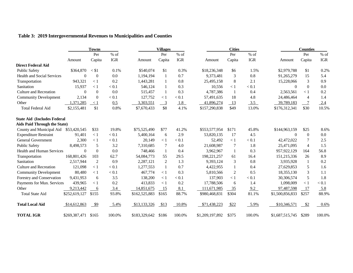| Table 3: 2019 Intergovernmental Revenues to Municipalities and Counties |  |  |
|-------------------------------------------------------------------------|--|--|
|-------------------------------------------------------------------------|--|--|

|                                     |               | <b>Towns</b>   |         |               | <b>Villages</b> |            |                 | <b>Cities</b>  |            |                 | <b>Counties</b> |            |  |  |
|-------------------------------------|---------------|----------------|---------|---------------|-----------------|------------|-----------------|----------------|------------|-----------------|-----------------|------------|--|--|
|                                     |               | Per            | % of    |               | Per             | $%$ of     |                 | Per            | % of       |                 | Per             | $%$ of     |  |  |
|                                     | Amount        | Capita         | IGR     | Amount        | Capita          | <b>IGR</b> | Amount          | Capita         | <b>IGR</b> | Amount          | Capita          | <b>IGR</b> |  |  |
| <b>Direct Federal Aid</b>           |               |                |         |               |                 |            |                 |                |            |                 |                 |            |  |  |
| <b>Public Safety</b>                | \$364,870     | $<$ \$1        | 0.1%    | \$540.074     | \$1             | 0.3%       | \$18,236,348    | \$6            | 1.5%       | \$2,979,788     | \$1             | 0.2%       |  |  |
| <b>Health and Social Services</b>   | $\Omega$      | $\Omega$       | 0.0     | 1,194,194     | -1              | 0.7        | 9,373,481       | 3              | 0.8        | 91,265,279      | 15              | 5.4        |  |  |
| Transportation                      | 943,321       | $\lt 1$        | 0.2     | 1,443,281     | 1               | 0.8        | 25,495,158      | 8              | 2.1        | 15,228,066      | 3               | 0.9        |  |  |
| Sanitation                          | 15,937        | < 1            | < 0.1   | 546,124       | 1               | 0.3        | 10,556          | < 1            | < 0.1      | $\mathbf{0}$    | $\overline{0}$  | 0.0        |  |  |
| <b>Culture and Recreation</b>       | $\Omega$      | $\mathbf{0}$   | 0.0     | 515,457       | 1               | 0.3        | 4,787,386       | 1              | 0.4        | 2,563,561       | < 1             | 0.2        |  |  |
| <b>Community Development</b>        | 2,134         | $\theta$       | < 0.1   | 127,752       | $\leq 1$        | < 0.1      | 57,491,635      | 18             | 4.8        | 24,486,464      | $\overline{4}$  | 1.4        |  |  |
| Other                               | 1,371,285     | $\lt 1$        | 0.5     | 3,303,551     | 3               | 1.8        | 41,896,274      | 13             | 3.5        | 39,789,183      |                 | 2.4        |  |  |
| <b>Total Federal Aid</b>            | \$2,155,481   | \$1            | 0.8%    | \$7,670,433   | \$8             | 4.1%       | \$157,290,838   | \$49           | 13.0%      | \$176,312,341   | \$30            | 10.5%      |  |  |
| <b>State Aid (Includes Federal)</b> |               |                |         |               |                 |            |                 |                |            |                 |                 |            |  |  |
| <b>Aids Paid Through the State)</b> |               |                |         |               |                 |            |                 |                |            |                 |                 |            |  |  |
| County and Municipal Aid            | \$53,420,545  | \$33           | 19.8%   | \$75,525,490  | \$77            | 41.2%      | \$553,577,954   | \$171          | 45.8%      | \$144,963,159   | \$25            | 8.6%       |  |  |
| <b>Expenditure Restraint</b>        | 91,401        | $\leq 1$       | < 0.1   | 5,400,164     | 6               | 2.9        | 53,820,135      | 17             | 4.5        | $\Omega$        | $\overline{0}$  | 0.0        |  |  |
| <b>General Government</b>           | 2,300         | $\leq 1$       | < 0.1   | 20,149        | < 1             | < 0.1      | 52,492          | $\lt 1$        | < 0.1      | 42,472,022      | 7               | 2.5        |  |  |
| <b>Public Safety</b>                | 8,498,573     | 5              | 3.2     | 7,310,685     | 7               | 4.0        | 21,608,987      | 7              | 1.8        | 25,471,095      | $\overline{4}$  | 1.5        |  |  |
| <b>Health and Human Services</b>    | $\mathbf{0}$  | $\overline{0}$ | 0.0     | 748,466       | -1              | 0.4        | 3,962,967       | 1              | 0.3        | 957, 922, 129   | 164             | 56.8       |  |  |
| Transportation                      | 168,801,426   | 103            | 62.7    | 54,084,773    | 55              | 29.5       | 198,221,257     | 61             | 16.4       | 151,215,336     | 26              | 8.9        |  |  |
| Sanitation                          | 2,517,944     | $\overline{2}$ | 0.9     | 2,287,121     | $\overline{2}$  | 1.3        | 9,393,124       | 3              | 0.8        | 3,935,928       | -1              | 0.2        |  |  |
| <b>Culture and Recreation</b>       | 121,098       | < 1            | $< 0.1$ | 1,277,553     | 1               | 0.7        | 4,422,955       | 1              | 0.4        | 27,629,853      | 5               | 1.6        |  |  |
| <b>Community Development</b>        | 80,480        | $\leq 1$       | < 0.1   | 467,774       | $\leq 1$        | 0.3        | 5,810,566       | $\overline{2}$ | 0.5        | 18,355,130      | 3               | 1.1        |  |  |
| Forestry and Conservation           | 9,431,953     | 6              | 3.5     | 138,200       | $\leq 1$        | < 0.1      | 137,903         | < 1            | < 0.1      | 30,306,574      | 5               | 1.8        |  |  |
| Payments for Mun. Services          | 439,965       | $\lt 1$        | 0.2     | 413,833       | $\lt 1$         | 0.2        | 17,788,506      | 6              | 1.4        | 1,098,009       | $\lt 1$         | < 0.1      |  |  |
| Other                               | 9,213,442     | 6              | 3.4     | 14,851,675    | 15              | 8.1        | 111,671,985     | 35             | 9.2        | 97,487,598      | 17              | 5.8        |  |  |
| <b>Total State Aid</b>              | \$252,619,127 | \$155          | 93.8%   | \$162,525,883 | \$165           | 88.7%      | \$980,468,831   | \$304          | 81.1%      | \$1,500,856,833 | \$257           | 88.9%      |  |  |
| <b>Total Local Aid</b>              | \$14,612,863  | - \$9          | $5.4\%$ | \$13,133,326  | \$13            | 10.8%      | \$71,438,223    | \$22           | 5.9%       | \$10,346,571    | \$2             | 0.6%       |  |  |
| <b>TOTAL IGR</b>                    | \$269,387,471 | \$165          | 100.0%  | \$183,329,642 | \$186           | 100.0%     | \$1,209,197,892 | \$375          | 100.0%     | \$1,687,515,745 | \$289           | 100.0%     |  |  |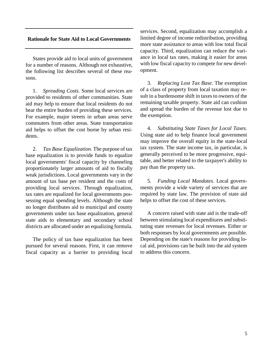#### **Rationale for State Aid to Local Governments**

States provide aid to local units of government for a number of reasons. Although not exhaustive, the following list describes several of these reasons.

1. *Spreading Costs.* Some local services are provided to residents of other communities. State aid may help to ensure that local residents do not bear the entire burden of providing these services. For example, major streets in urban areas serve commuters from other areas. State transportation aid helps to offset the cost borne by urban residents.

2. *Tax Base Equalization.* The purpose of tax base equalization is to provide funds to equalize local governments' fiscal capacity by channeling proportionately larger amounts of aid to fiscally weak jurisdictions. Local governments vary in the amount of tax base per resident and the costs of providing local services. Through equalization, tax rates are equalized for local governments possessing equal spending levels. Although the state no longer distributes aid to municipal and county governments under tax base equalization, general state aids to elementary and secondary school districts are allocated under an equalizing formula.

The policy of tax base equalization has been pursued for several reasons. First, it can remove fiscal capacity as a barrier to providing local

services. Second, equalization may accomplish a limited degree of income redistribution, providing more state assistance to areas with low total fiscal capacity. Third, equalization can reduce the variance in local tax rates, making it easier for areas with low fiscal capacity to compete for new development.

3. *Replacing Lost Tax Base.* The exemption of a class of property from local taxation may result in a burdensome shift in taxes to owners of the remaining taxable property. State aid can cushion and spread the burden of the revenue lost due to the exemption.

4. *Substituting State Taxes for Local Taxes*. Using state aid to help finance local government may improve the overall equity in the state-local tax system. The state income tax, in particular, is generally perceived to be more progressive, equitable, and better related to the taxpayer's ability to pay than the property tax.

5. *Funding Local Mandates.* Local governments provide a wide variety of services that are required by state law. The provision of state aid helps to offset the cost of these services.

A concern raised with state aid is the trade-off between stimulating local expenditures and substituting state revenues for local revenues. Either or both responses by local governments are possible. Depending on the state's reasons for providing local aid, provisions can be built into the aid system to address this concern.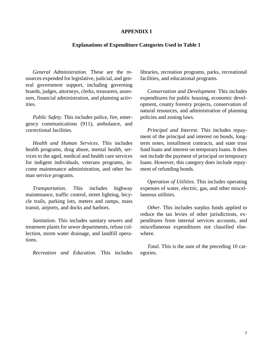#### **APPENDIX I**

#### **Explanations of Expenditure Categories Used in Table 1**

*General Administration*. These are the resources expended for legislative, judicial, and general government support, including governing boards, judges, attorneys, clerks, treasurers, assessors, financial administration, and planning activities.

*Public Safety*. This includes police, fire, emergency communications (911), ambulance, and correctional facilities.

*Health and Human Services*. This includes health programs, drug abuse, mental health, services to the aged, medical and health care services for indigent individuals, veterans programs, income maintenance administration, and other human service programs.

*Transportation*. This includes highway maintenance, traffic control, street lighting, bicycle trails, parking lots, meters and ramps, mass transit, airports, and docks and harbors.

*Sanitation*. This includes sanitary sewers and treatment plants for sewer departments, refuse collection, storm water drainage, and landfill operations.

*Recreation and Education*. This includes

libraries, recreation programs, parks, recreational facilities, and educational programs.

*Conservation and Development*. This includes expenditures for public housing, economic development, county forestry projects, conservation of natural resources, and administration of planning policies and zoning laws.

*Principal and Interest*. This includes repayment of the principal and interest on bonds, longterm notes, installment contracts, and state trust fund loans and interest on temporary loans. It does not include the payment of principal on temporary loans. However, this category does include repayment of refunding bonds.

*Operation of Utilities.* This includes operating expenses of water, electric, gas, and other miscellaneous utilities.

*Other*. This includes surplus funds applied to reduce the tax levies of other jurisdictions, expenditures from internal services accounts, and miscellaneous expenditures not classified elsewhere.

*Total*. This is the sum of the preceding 10 categories.